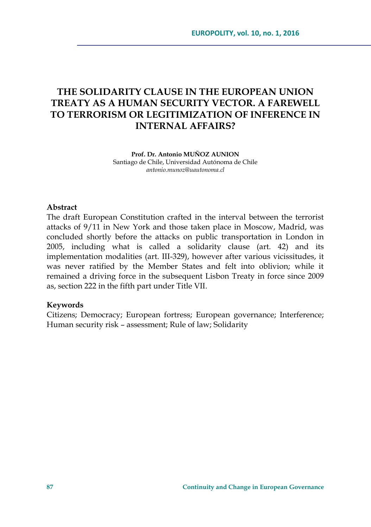# **THE SOLIDARITY CLAUSE IN THE EUROPEAN UNION TREATY AS A HUMAN SECURITY VECTOR. A FAREWELL TO TERRORISM OR LEGITIMIZATION OF INFERENCE IN INTERNAL AFFAIRS?**

**Prof. Dr. Antonio MUÑOZ AUNION** Santiago de Chile, Universidad Autónoma de Chile *antonio.munoz@uautonoma.cl*

### **Abstract**

The draft European Constitution crafted in the interval between the terrorist attacks of 9/11 in New York and those taken place in Moscow, Madrid, was concluded shortly before the attacks on public transportation in London in 2005, including what is called a solidarity clause (art. 42) and its implementation modalities (art. III-329), however after various vicissitudes, it was never ratified by the Member States and felt into oblivion; while it remained a driving force in the subsequent Lisbon Treaty in force since 2009 as, section 222 in the fifth part under Title VII.

#### **Keywords**

Citizens; Democracy; European fortress; European governance; Interference; Human security risk – assessment; Rule of law; Solidarity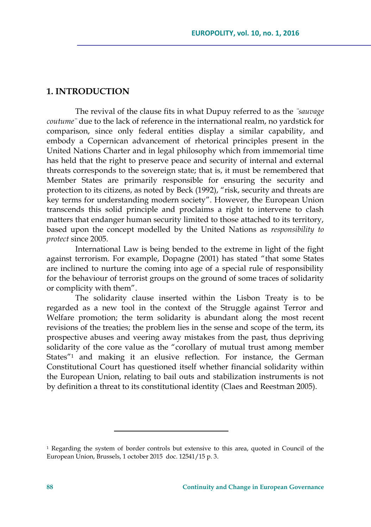## **1. INTRODUCTION**

The revival of the clause fits in what Dupuy referred to as the *¨sauvage coutume¨* due to the lack of reference in the international realm, no yardstick for comparison, since only federal entities display a similar capability, and embody a Copernican advancement of rhetorical principles present in the United Nations Charter and in legal philosophy which from immemorial time has held that the right to preserve peace and security of internal and external threats corresponds to the sovereign state; that is, it must be remembered that Member States are primarily responsible for ensuring the security and protection to its citizens, as noted by Beck (1992), "risk, security and threats are key terms for understanding modern society". However, the European Union transcends this solid principle and proclaims a right to intervene to clash matters that endanger human security limited to those attached to its territory, based upon the concept modelled by the United Nations as *responsibility to protect* since 2005.

International Law is being bended to the extreme in light of the fight against terrorism. For example, Dopagne (2001) has stated "that some States are inclined to nurture the coming into age of a special rule of responsibility for the behaviour of terrorist groups on the ground of some traces of solidarity or complicity with them".

The solidarity clause inserted within the Lisbon Treaty is to be regarded as a new tool in the context of the Struggle against Terror and Welfare promotion; the term solidarity is abundant along the most recent revisions of the treaties; the problem lies in the sense and scope of the term, its prospective abuses and veering away mistakes from the past, thus depriving solidarity of the core value as the "corollary of mutual trust among member States"<sup>1</sup> and making it an elusive reflection. For instance, the German Constitutional Court has questioned itself whether financial solidarity within the European Union, relating to bail outs and stabilization instruments is not by definition a threat to its constitutional identity (Claes and Reestman 2005).

<sup>&</sup>lt;sup>1</sup> Regarding the system of border controls but extensive to this area, quoted in Council of the European Union, Brussels, 1 october 2015 doc. 12541/15 p. 3.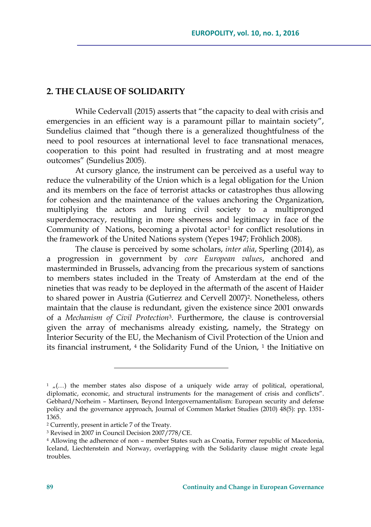## **2. THE CLAUSE OF SOLIDARITY**

While Cedervall (2015) asserts that "the capacity to deal with crisis and emergencies in an efficient way is a paramount pillar to maintain society", Sundelius claimed that "though there is a generalized thoughtfulness of the need to pool resources at international level to face transnational menaces, cooperation to this point had resulted in frustrating and at most meagre outcomes" (Sundelius 2005).

At cursory glance, the instrument can be perceived as a useful way to reduce the vulnerability of the Union which is a legal obligation for the Union and its members on the face of terrorist attacks or catastrophes thus allowing for cohesion and the maintenance of the values anchoring the Organization, multiplying the actors and luring civil society to a multipronged superdemocracy, resulting in more sheerness and legitimacy in face of the Community of Nations, becoming a pivotal actor<sup>1</sup> for conflict resolutions in the framework of the United Nations system (Yepes 1947; Fröhlich 2008).

The clause is perceived by some scholars, *inter alia*, Sperling (2014), as a progression in government by *core European values*, anchored and masterminded in Brussels, advancing from the precarious system of sanctions to members states included in the Treaty of Amsterdam at the end of the nineties that was ready to be deployed in the aftermath of the ascent of Haider to shared power in Austria (Gutierrez and Cervell 2007)<sup>2</sup>. Nonetheless, others maintain that the clause is redundant, given the existence since 2001 onwards of a *Mechanism of Civil Protection*<sup>3</sup> *.* Furthermore, the clause is controversial given the array of mechanisms already existing, namely, the Strategy on Interior Security of the EU, the Mechanism of Civil Protection of the Union and its financial instrument, <sup>4</sup> the Solidarity Fund of the Union, <sup>1</sup> the Initiative on

 $\frac{1}{1}$  (...) the member states also dispose of a uniquely wide array of political, operational, diplomatic, economic, and structural instruments for the management of crisis and conflicts". Gebhard/Norheim – Martinsen, Beyond Intergovernamentalism: European security and defense policy and the governance approach, Journal of Common Market Studies (2010) 48(5): pp. 1351- 1365.

<sup>2</sup> Currently, present in article 7 of the Treaty.

<sup>3</sup> Revised in 2007 in Council Decision 2007/778/CE.

<sup>4</sup> Allowing the adherence of non – member States such as Croatia, Former republic of Macedonia, Iceland, Liechtenstein and Norway, overlapping with the Solidarity clause might create legal troubles.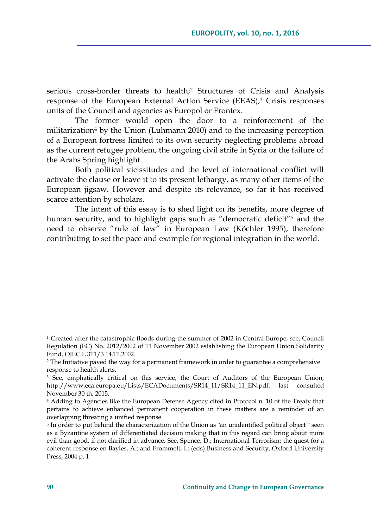serious cross-border threats to health;<sup>2</sup> Structures of Crisis and Analysis response of the European External Action Service (EEAS),<sup>3</sup> Crisis responses units of the Council and agencies as Europol or Frontex.

The former would open the door to a reinforcement of the militarization $4$  by the Union (Luhmann 2010) and to the increasing perception of a European fortress limited to its own security neglecting problems abroad as the current refugee problem, the ongoing civil strife in Syria or the failure of the Arabs Spring highlight.

Both political vicissitudes and the level of international conflict will activate the clause or leave it to its present lethargy, as many other items of the European jigsaw. However and despite its relevance, so far it has received scarce attention by scholars.

The intent of this essay is to shed light on its benefits, more degree of human security, and to highlight gaps such as "democratic deficit"<sup>5</sup> and the need to observe "rule of law" in European Law (Köchler 1995), therefore contributing to set the pace and example for regional integration in the world.

<sup>1</sup> Created after the catastrophic floods during the summer of 2002 in Central Europe, see, Council Regulation (EC) No. 2012/2002 of 11 November 2002 establishing the European Union Solidarity Fund, OJEC L 311/3 14.11.2002.

<sup>2</sup> The Initiative paved the way for a permanent framework in order to guarantee a comprehensive response to health alerts.

<sup>&</sup>lt;sup>3</sup> See, emphatically critical on this service, the Court of Auditors of the European Union, [http://www.eca.europa.eu/Lists/ECADocuments/SR14\\_11/SR14\\_11\\_EN.pdf,](http://www.eca.europa.eu/Lists/ECADocuments/SR14_11/SR14_11_EN.pdf) last consulted November 30 th, 2015.

<sup>4</sup> Adding to Agencies like the European Defense Agency cited in Protocol n. 10 of the Treaty that pertains to achieve enhanced permanent cooperation in these matters are a reminder of an overlapping threating a unified response.

<sup>5</sup> In order to put behind the characterization of the Union as ¨an unidentified political object ¨ seen as a Byzantine system of differentiated decision making that in this regard can bring about more evil than good, if not clarified in advance. See, Spence, D.; International Terrorism: the quest for a coherent response en Bayles, A.; and Frommelt, I.; (eds) Business and Security, Oxford University Press, 2004 p. 1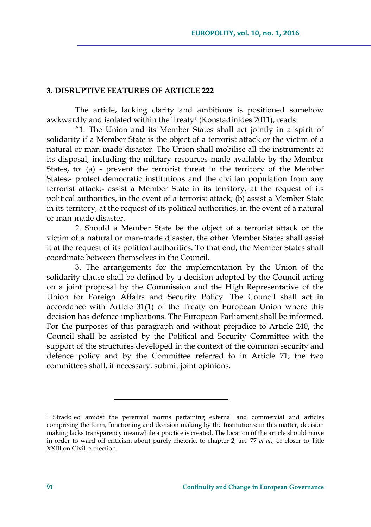### **3. DISRUPTIVE FEATURES OF ARTICLE 222**

 $\overline{a}$ 

The article, lacking clarity and ambitious is positioned somehow awkwardly and isolated within the Treaty $^{\rm 1}$  (Konstadinides 2011), reads:

"1. The Union and its Member States shall act jointly in a spirit of solidarity if a Member State is the object of a terrorist attack or the victim of a natural or man-made disaster. The Union shall mobilise all the instruments at its disposal, including the military resources made available by the Member States, to: (a) - prevent the terrorist threat in the territory of the Member States;- protect democratic institutions and the civilian population from any terrorist attack;- assist a Member State in its territory, at the request of its political authorities, in the event of a terrorist attack; (b) assist a Member State in its territory, at the request of its political authorities, in the event of a natural or man-made disaster.

2. Should a Member State be the object of a terrorist attack or the victim of a natural or man-made disaster, the other Member States shall assist it at the request of its political authorities. To that end, the Member States shall coordinate between themselves in the Council.

3. The arrangements for the implementation by the Union of the solidarity clause shall be defined by a decision adopted by the Council acting on a joint proposal by the Commission and the High Representative of the Union for Foreign Affairs and Security Policy. The Council shall act in accordance with Article 31(1) of the Treaty on European Union where this decision has defence implications. The European Parliament shall be informed. For the purposes of this paragraph and without prejudice to Article 240, the Council shall be assisted by the Political and Security Committee with the support of the structures developed in the context of the common security and defence policy and by the Committee referred to in Article 71; the two committees shall, if necessary, submit joint opinions.

<sup>1</sup> Straddled amidst the perennial norms pertaining external and commercial and articles comprising the form, functioning and decision making by the Institutions; in this matter, decision making lacks transparency meanwhile a practice is created. The location of the article should move in order to ward off criticism about purely rhetoric, to chapter 2, art. 77 *et al*., or closer to Title XXIII on Civil protection.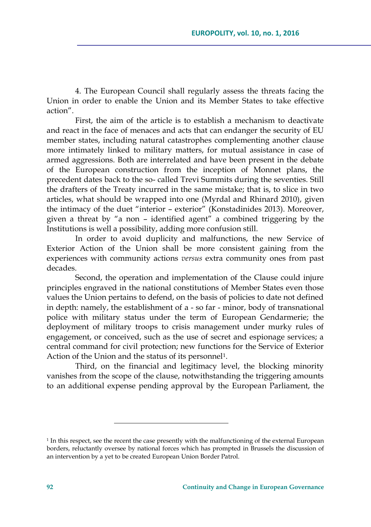4. The European Council shall regularly assess the threats facing the Union in order to enable the Union and its Member States to take effective action".

First, the aim of the article is to establish a mechanism to deactivate and react in the face of menaces and acts that can endanger the security of EU member states, including natural catastrophes complementing another clause more intimately linked to military matters, for mutual assistance in case of armed aggressions. Both are interrelated and have been present in the debate of the European construction from the inception of Monnet plans, the precedent dates back to the so- called Trevi Summits during the seventies. Still the drafters of the Treaty incurred in the same mistake; that is, to slice in two articles, what should be wrapped into one (Myrdal and Rhinard 2010), given the intimacy of the duet "interior – exterior" (Konstadinides 2013). Moreover, given a threat by "a non – identified agent" a combined triggering by the Institutions is well a possibility, adding more confusion still.

In order to avoid duplicity and malfunctions, the new Service of Exterior Action of the Union shall be more consistent gaining from the experiences with community actions *versus* extra community ones from past decades.

Second, the operation and implementation of the Clause could injure principles engraved in the national constitutions of Member States even those values the Union pertains to defend, on the basis of policies to date not defined in depth: namely, the establishment of a - so far - minor, body of transnational police with military status under the term of European Gendarmerie; the deployment of military troops to crisis management under murky rules of engagement, or conceived, such as the use of secret and espionage services; a central command for civil protection; new functions for the Service of Exterior Action of the Union and the status of its personnel<sup>1</sup>.

Third, on the financial and legitimacy level, the blocking minority vanishes from the scope of the clause, notwithstanding the triggering amounts to an additional expense pending approval by the European Parliament, the

<sup>1</sup> In this respect, see the recent the case presently with the malfunctioning of the external European borders, reluctantly oversee by national forces which has prompted in Brussels the discussion of an intervention by a yet to be created European Union Border Patrol.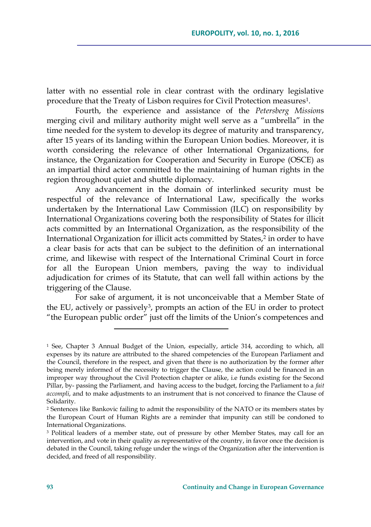latter with no essential role in clear contrast with the ordinary legislative procedure that the Treaty of Lisbon requires for Civil Protection measures<sup>1</sup>.

Fourth, the experience and assistance of the *Petersberg Mission*s merging civil and military authority might well serve as a "umbrella" in the time needed for the system to develop its degree of maturity and transparency, after 15 years of its landing within the European Union bodies. Moreover, it is worth considering the relevance of other International Organizations, for instance, the Organization for Cooperation and Security in Europe (OSCE) as an impartial third actor committed to the maintaining of human rights in the region throughout quiet and shuttle diplomacy.

Any advancement in the domain of interlinked security must be respectful of the relevance of International Law, specifically the works undertaken by the International Law Commission (ILC) on responsibility by International Organizations covering both the responsibility of States for illicit acts committed by an International Organization, as the responsibility of the International Organization for illicit acts committed by States,<sup>2</sup> in order to have a clear basis for acts that can be subject to the definition of an international crime, and likewise with respect of the International Criminal Court in force for all the European Union members, paving the way to individual adjudication for crimes of its Statute, that can well fall within actions by the triggering of the Clause.

For sake of argument, it is not unconceivable that a Member State of the EU, actively or passively<sup>3</sup>, prompts an action of the EU in order to protect "the European public order" just off the limits of the Union's competences and

<sup>1</sup> See, Chapter 3 Annual Budget of the Union, especially, article 314, according to which, all expenses by its nature are attributed to the shared competencies of the European Parliament and the Council, therefore in the respect, and given that there is no authorization by the former after being merely informed of the necessity to trigger the Clause, the action could be financed in an improper way throughout the Civil Protection chapter or alike, i.e funds existing for the Second Pillar, by- passing the Parliament, and having access to the budget, forcing the Parliament to a *fait accompli*, and to make adjustments to an instrument that is not conceived to finance the Clause of Solidarity.

<sup>2</sup> Sentences like Bankovic failing to admit the responsibility of the NATO or its members states by the European Court of Human Rights are a reminder that impunity can still be condoned to International Organizations.

<sup>&</sup>lt;sup>3</sup> Political leaders of a member state, out of pressure by other Member States, may call for an intervention, and vote in their quality as representative of the country, in favor once the decision is debated in the Council, taking refuge under the wings of the Organization after the intervention is decided, and freed of all responsibility.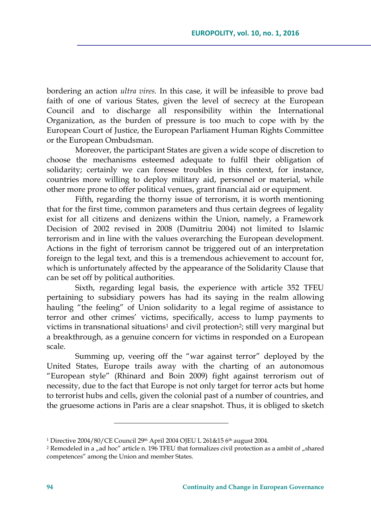bordering an action *ultra vires.* In this case, it will be infeasible to prove bad faith of one of various States, given the level of secrecy at the European Council and to discharge all responsibility within the International Organization, as the burden of pressure is too much to cope with by the European Court of Justice, the European Parliament Human Rights Committee or the European Ombudsman.

Moreover, the participant States are given a wide scope of discretion to choose the mechanisms esteemed adequate to fulfil their obligation of solidarity; certainly we can foresee troubles in this context, for instance, countries more willing to deploy military aid, personnel or material, while other more prone to offer political venues, grant financial aid or equipment.

Fifth, regarding the thorny issue of terrorism, it is worth mentioning that for the first time, common parameters and thus certain degrees of legality exist for all citizens and denizens within the Union, namely, a Framework Decision of 2002 revised in 2008 (Dumitriu 2004) not limited to Islamic terrorism and in line with the values overarching the European development. Actions in the fight of terrorism cannot be triggered out of an interpretation foreign to the legal text, and this is a tremendous achievement to account for, which is unfortunately affected by the appearance of the Solidarity Clause that can be set off by political authorities.

Sixth, regarding legal basis, the experience with article 352 TFEU pertaining to subsidiary powers has had its saying in the realm allowing hauling "the feeling" of Union solidarity to a legal regime of assistance to terror and other crimes' victims, specifically, access to lump payments to victims in transnational situations<sup>1</sup> and civil protection<sup>2</sup>; still very marginal but a breakthrough, as a genuine concern for victims in responded on a European scale.

Summing up, veering off the "war against terror" deployed by the United States, Europe trails away with the charting of an autonomous "European style" (Rhinard and Boin 2009) fight against terrorism out of necessity, due to the fact that Europe is not only target for terror acts but home to terrorist hubs and cells, given the colonial past of a number of countries, and the gruesome actions in Paris are a clear snapshot. Thus, it is obliged to sketch

<sup>1</sup> Directive 2004/80/CE Council 29th April 2004 OJEU L 261&15 6th august 2004.

<sup>&</sup>lt;sup>2</sup> Remodeled in a  $_{n}$  ad hoc" article n. 196 TFEU that formalizes civil protection as a ambit of  $_{n}$ shared competences" among the Union and member States.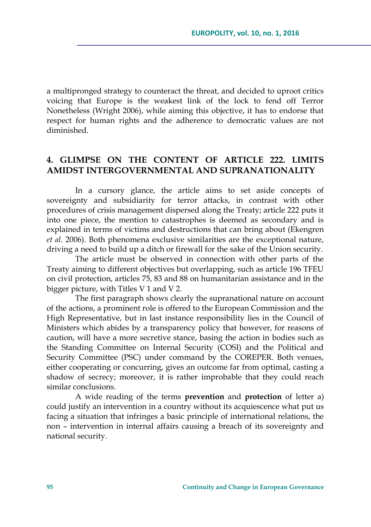a multipronged strategy to counteract the threat, and decided to uproot critics voicing that Europe is the weakest link of the lock to fend off Terror Nonetheless (Wright 2006), while aiming this objective, it has to endorse that respect for human rights and the adherence to democratic values are not diminished.

## **4. GLIMPSE ON THE CONTENT OF ARTICLE 222. LIMITS AMIDST INTERGOVERNMENTAL AND SUPRANATIONALITY**

In a cursory glance, the article aims to set aside concepts of sovereignty and subsidiarity for terror attacks, in contrast with other procedures of crisis management dispersed along the Treaty; article 222 puts it into one piece, the mention to catastrophes is deemed as secondary and is explained in terms of victims and destructions that can bring about (Ekengren *et al*. 2006). Both phenomena exclusive similarities are the exceptional nature, driving a need to build up a ditch or firewall for the sake of the Union security.

The article must be observed in connection with other parts of the Treaty aiming to different objectives but overlapping, such as article 196 TFEU on civil protection, articles 75, 83 and 88 on humanitarian assistance and in the bigger picture, with Titles V 1 and V 2.

The first paragraph shows clearly the supranational nature on account of the actions, a prominent role is offered to the European Commission and the High Representative, but in last instance responsibility lies in the Council of Ministers which abides by a transparency policy that however, for reasons of caution, will have a more secretive stance, basing the action in bodies such as the Standing Committee on Internal Security (COSI) and the Political and Security Committee (PSC) under command by the COREPER. Both venues, either cooperating or concurring, gives an outcome far from optimal, casting a shadow of secrecy; moreover, it is rather improbable that they could reach similar conclusions.

A wide reading of the terms **prevention** and **protection** of letter a) could justify an intervention in a country without its acquiescence what put us facing a situation that infringes a basic principle of international relations, the non – intervention in internal affairs causing a breach of its sovereignty and national security.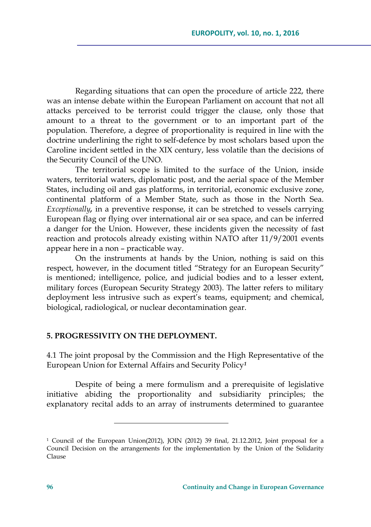Regarding situations that can open the procedure of article 222, there was an intense debate within the European Parliament on account that not all attacks perceived to be terrorist could trigger the clause, only those that amount to a threat to the government or to an important part of the population. Therefore, a degree of proportionality is required in line with the doctrine underlining the right to self-defence by most scholars based upon the Caroline incident settled in the XIX century, less volatile than the decisions of the Security Council of the UNO.

The territorial scope is limited to the surface of the Union, inside waters, territorial waters, diplomatic post, and the aerial space of the Member States, including oil and gas platforms, in territorial, economic exclusive zone, continental platform of a Member State, such as those in the North Sea. *Exceptionally,* in a preventive response, it can be stretched to vessels carrying European flag or flying over international air or sea space, and can be inferred a danger for the Union. However, these incidents given the necessity of fast reaction and protocols already existing within NATO after 11/9/2001 events appear here in a non – practicable way.

On the instruments at hands by the Union, nothing is said on this respect, however, in the document titled "Strategy for an European Security" is mentioned; intelligence, police, and judicial bodies and to a lesser extent, military forces (European Security Strategy 2003). The latter refers to military deployment less intrusive such as expert's teams, equipment; and chemical, biological, radiological, or nuclear decontamination gear.

### **5. PROGRESSIVITY ON THE DEPLOYMENT.**

 $\overline{\phantom{a}}$ 

4.1 The joint proposal by the Commission and the High Representative of the European Union for External Affairs and Security Policy*<sup>1</sup>*

Despite of being a mere formulism and a prerequisite of legislative initiative abiding the proportionality and subsidiarity principles; the explanatory recital adds to an array of instruments determined to guarantee

<sup>1</sup> Council of the European Union(2012), JOIN (2012) 39 final, 21.12.2012, Joint proposal for a Council Decision on the arrangements for the implementation by the Union of the Solidarity Clause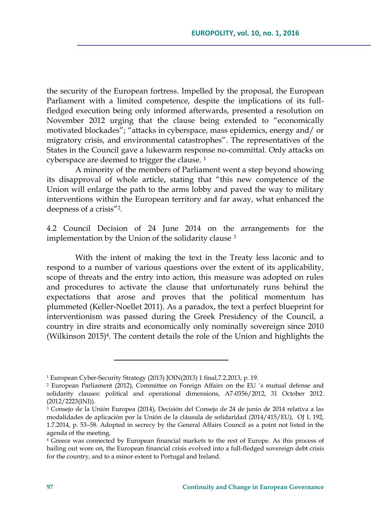the security of the European fortress. Impelled by the proposal, the European Parliament with a limited competence, despite the implications of its fullfledged execution being only informed afterwards, presented a resolution on November 2012 urging that the clause being extended to "economically motivated blockades"; "attacks in cyberspace, mass epidemics, energy and/ or migratory crisis, and environmental catastrophes". The representatives of the States in the Council gave a lukewarm response no-committal. Only attacks on cyberspace are deemed to trigger the clause. <sup>1</sup>

A minority of the members of Parliament went a step beyond showing its disapproval of whole article, stating that "this new competence of the Union will enlarge the path to the arms lobby and paved the way to military interventions within the European territory and far away, what enhanced the deepness of a crisis" 2 .

4.2 Council Decision of 24 June 2014 on the arrangements for the implementation by the Union of the solidarity clause <sup>3</sup>

With the intent of making the text in the Treaty less laconic and to respond to a number of various questions over the extent of its applicability, scope of threats and the entry into action, this measure was adopted on rules and procedures to activate the clause that unfortunately runs behind the expectations that arose and proves that the political momentum has plummeted (Keller-Noellet 2011). As a paradox, the text a perfect blueprint for interventionism was passed during the Greek Presidency of the Council, a country in dire straits and economically only nominally sovereign since 2010 (Wilkinson 2015)<sup>4</sup> . The content details the role of the Union and highlights the

<sup>1</sup> European Cyber-Security Strategy (2013) JOIN(2013) 1 final,7.2.2013, p. 19.

<sup>2</sup> European Parliament (2012), Committee on Foreign Affairs on the EU ´s mutual defense and solidarity clauses: political and operational dimensions, A7-0356/2012, 31 October 2012. (2012/2223(INI)).

<sup>3</sup> Consejo de la Unión Europea (2014), Decisión del Consejo de 24 de junio de 2014 relativa a las modalidades de aplicación por la Unión de la cláusula de solidaridad (2014/415/EU), OJ L 192, 1.7.2014, p. 53–58. Adopted in secrecy by the General Affairs Council as a point not listed in the agenda of the meeting.

<sup>4</sup> Greece was connected by European financial markets to the rest of Europe. As this process of bailing out wore on, the European financial crisis evolved into a full-fledged sovereign debt crisis for the country, and to a minor extent to Portugal and Ireland.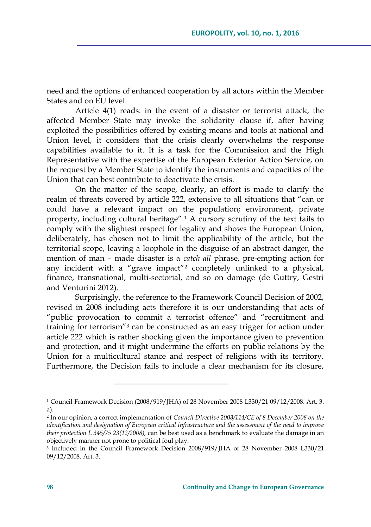need and the options of enhanced cooperation by all actors within the Member States and on **EU** level.

Article 4(1) reads: in the event of a disaster or terrorist attack, the affected Member State may invoke the solidarity clause if, after having exploited the possibilities offered by existing means and tools at national and Union level, it considers that the crisis clearly overwhelms the response capabilities available to it. It is a task for the Commission and the High Representative with the expertise of the European Exterior Action Service, on the request by a Member State to identify the instruments and capacities of the Union that can best contribute to deactivate the crisis.

On the matter of the scope, clearly, an effort is made to clarify the realm of threats covered by article 222, extensive to all situations that "can or could have a relevant impact on the population; environment, private property, including cultural heritage". <sup>1</sup> A cursory scrutiny of the text fails to comply with the slightest respect for legality and shows the European Union, deliberately, has chosen not to limit the applicability of the article, but the territorial scope, leaving a loophole in the disguise of an abstract danger, the mention of man – made disaster is a *catch all* phrase, pre-empting action for any incident with a "grave impact"<sup>2</sup> completely unlinked to a physical, finance, transnational, multi-sectorial, and so on damage (de Guttry, Gestri and Venturini 2012).

Surprisingly, the reference to the Framework Council Decision of 2002, revised in 2008 including acts therefore it is our understanding that acts of "public provocation to commit a terrorist offence" and "recruitment and training for terrorism"<sup>3</sup> can be constructed as an easy trigger for action under article 222 which is rather shocking given the importance given to prevention and protection, and it might undermine the efforts on public relations by the Union for a multicultural stance and respect of religions with its territory. Furthermore, the Decision fails to include a clear mechanism for its closure,

<sup>1</sup> Council Framework Decision (2008/919/JHA) of 28 November 2008 L330/21 09/12/2008. Art. 3. a).

<sup>2</sup> In our opinion, a correct implementation of *Council Directive 2008/114/CE of 8 December 2008 on the identification and designation of European critical infrastructure and the assessment of the need to improve their protection L 345/75 23(12/2008),* can be best used as a benchmark to evaluate the damage in an objectively manner not prone to political foul play.

<sup>3</sup> Included in the Council Framework Decision 2008/919/JHA of 28 November 2008 L330/21 09/12/2008. Art. 3.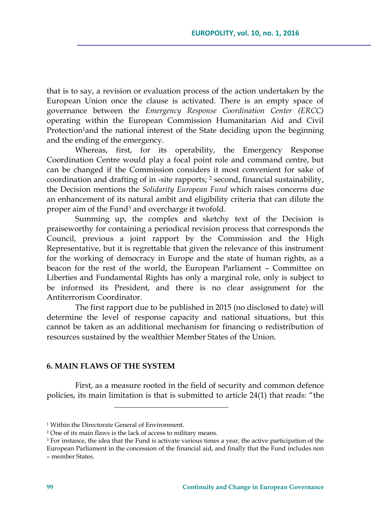that is to say, a revision or evaluation process of the action undertaken by the European Union once the clause is activated. There is an empty space of governance between the *Emergency Response Coordination Center (ERCC)* operating within the European Commission Humanitarian Aid and Civil Protection<sup>1</sup>and the national interest of the State deciding upon the beginning and the ending of the emergency.

Whereas, first, for its operability, the Emergency Response Coordination Centre would play a focal point role and command centre, but can be changed if the Commission considers it most convenient for sake of coordination and drafting of in -site rapports; <sup>2</sup> second, financial sustainability, the Decision mentions the *Solidarity European Fund* which raises concerns due an enhancement of its natural ambit and eligibility criteria that can dilute the proper aim of the Fund<sup>3</sup> and overcharge it twofold.

Summing up, the complex and sketchy text of the Decision is praiseworthy for containing a periodical revision process that corresponds the Council, previous a joint rapport by the Commission and the High Representative, but it is regrettable that given the relevance of this instrument for the working of democracy in Europe and the state of human rights, as a beacon for the rest of the world, the European Parliament – Committee on Liberties and Fundamental Rights has only a marginal role, only is subject to be informed its President, and there is no clear assignment for the Antiterrorism Coordinator.

The first rapport due to be published in 2015 (no disclosed to date) will determine the level of response capacity and national situations, but this cannot be taken as an additional mechanism for financing o redistribution of resources sustained by the wealthier Member States of the Union.

## **6. MAIN FLAWS OF THE SYSTEM**

First, as a measure rooted in the field of security and common defence policies, its main limitation is that is submitted to article 24(1) that reads: "the

<sup>1</sup> Within the Directorate General of Environment.

<sup>2</sup> One of its main flaws is the lack of access to military means.

<sup>3</sup> For instance, the idea that the Fund is activate various times a year, the active participation of the European Parliament in the concession of the financial aid, and finally that the Fund includes non – member States.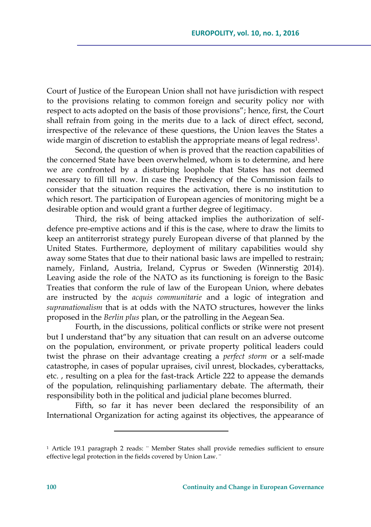Court of Justice of the European Union shall not have jurisdiction with respect to the provisions relating to common foreign and security policy nor with respect to acts adopted on the basis of those provisions"; hence, first, the Court shall refrain from going in the merits due to a lack of direct effect, second, irrespective of the relevance of these questions, the Union leaves the States a wide margin of discretion to establish the appropriate means of legal redress<sup>1</sup>.

Second, the question of when is proved that the reaction capabilities of the concerned State have been overwhelmed, whom is to determine, and here we are confronted by a disturbing loophole that States has not deemed necessary to fill till now. In case the Presidency of the Commission fails to consider that the situation requires the activation, there is no institution to which resort. The participation of European agencies of monitoring might be a desirable option and would grant a further degree of legitimacy.

Third, the risk of being attacked implies the authorization of selfdefence pre-emptive actions and if this is the case, where to draw the limits to keep an antiterrorist strategy purely European diverse of that planned by the United States. Furthermore, deployment of military capabilities would shy away some States that due to their national basic laws are impelled to restrain; namely, Finland, Austria, Ireland, Cyprus or Sweden (Winnerstig 2014). Leaving aside the role of the NATO as its functioning is foreign to the Basic Treaties that conform the rule of law of the European Union, where debates are instructed by the *acquis communitarie* and a logic of integration and *supranationalism* that is at odds with the NATO structures, however the links proposed in the *Berlin plus* plan, or the patrolling in the Aegean Sea.

Fourth, in the discussions, political conflicts or strike were not present but I understand that"by any situation that can result on an adverse outcome on the population, environment, or private property political leaders could twist the phrase on their advantage creating a *perfect storm* or a self-made catastrophe, in cases of popular upraises, civil unrest, blockades, cyberattacks, etc. , resulting on a plea for the fast-track Article 222 to appease the demands of the population, relinquishing parliamentary debate. The aftermath, their responsibility both in the political and judicial plane becomes blurred.

Fifth, so far it has never been declared the responsibility of an International Organization for acting against its objectives, the appearance of

<sup>&</sup>lt;sup>1</sup> Article 19.1 paragraph 2 reads: " Member States shall provide remedies sufficient to ensure effective legal protection in the fields covered by Union Law. ¨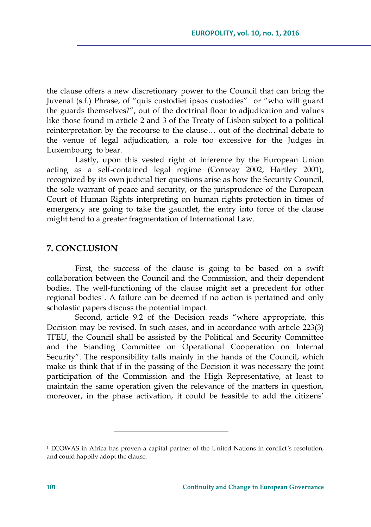the clause offers a new discretionary power to the Council that can bring the Juvenal (s.f.) Phrase, of "quis custodiet ipsos custodies" or "who will guard the guards themselves?", out of the doctrinal floor to adjudication and values like those found in article 2 and 3 of the Treaty of Lisbon subject to a political reinterpretation by the recourse to the clause… out of the doctrinal debate to the venue of legal adjudication, a role too excessive for the Judges in Luxembourg to bear.

Lastly, upon this vested right of inference by the European Union acting as a self-contained legal regime (Conway 2002; Hartley 2001), recognized by its own judicial tier questions arise as how the Security Council, the sole warrant of peace and security, or the jurisprudence of the European Court of Human Rights interpreting on human rights protection in times of emergency are going to take the gauntlet, the entry into force of the clause might tend to a greater fragmentation of International Law.

## **7. CONCLUSION**

 $\overline{a}$ 

First, the success of the clause is going to be based on a swift collaboration between the Council and the Commission, and their dependent bodies. The well-functioning of the clause might set a precedent for other regional bodies<sup>1</sup>. A failure can be deemed if no action is pertained and only scholastic papers discuss the potential impact.

Second, article 9.2 of the Decision reads "where appropriate, this Decision may be revised. In such cases, and in accordance with article 223(3) TFEU, the Council shall be assisted by the Political and Security Committee and the Standing Committee on Operational Cooperation on Internal Security". The responsibility falls mainly in the hands of the Council, which make us think that if in the passing of the Decision it was necessary the joint participation of the Commission and the High Representative, at least to maintain the same operation given the relevance of the matters in question, moreover, in the phase activation, it could be feasible to add the citizens'

<sup>&</sup>lt;sup>1</sup> ECOWAS in Africa has proven a capital partner of the United Nations in conflict's resolution, and could happily adopt the clause.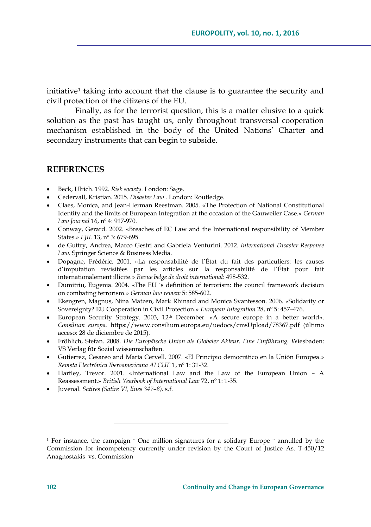initiative<sup>1</sup> taking into account that the clause is to guarantee the security and civil protection of the citizens of the EU.

Finally, as for the terrorist question, this is a matter elusive to a quick solution as the past has taught us, only throughout transversal cooperation mechanism established in the body of the United Nations' Charter and secondary instruments that can begin to subside.

### **REFERENCES**

- Beck, Ulrich. 1992. *Risk society.* London: Sage.
- Cedervall, Kristian. 2015. *Disaster Law .* London: Routledge.
- Claes, Monica, and Jean-Herman Reestman. 2005. «The Protection of National Constitutional Identity and the limits of European Integration at the occasion of the Gauweiler Case.» *German Law Journal* 16, nº 4: 917-970.
- Conway, Gerard. 2002. «Breaches of EC Law and the International responsibility of Member States.» *EJIL* 13, nº 3: 679-695.
- de Guttry, Andrea, Marco Gestri and Gabriela Venturini. 2012. *International Disaster Response Law.* Springer Science & Business Media.
- Dopagne, Frédéric. 2001. «La responsabilité de l'État du fait des particuliers: les causes d'imputation revisitées par les articles sur la responsabilité de l'État pour fait internationalement illicite.» *Revue belge de droit international*: 498-532.
- Dumitriu, Eugenia. 2004. «The EU ´s definition of terrorism: the council framework decision on combating terrorism.» *German law review* 5: 585-602.
- Ekengren, Magnus, Nina Matzen, Mark Rhinard and Monica Svantesson. 2006. «Solidarity or Sovereignty? EU Cooperation in Civil Protection.» *European Integration* 28, nº 5: 457–476.
- European Security Strategy. 2003, 12th December. «A secure europe in a better world». *Consilium europa.* https://www.consilium.europa.eu/uedocs/cmsUpload/78367.pdf (último acceso: 28 de diciembre de 2015).
- Fröhlich, Stefan. 2008. *Die Europäische Union als Globaler Akteur. Eine Einführung.* Wiesbaden: VS Verlag für Sozial wissennschaften.
- Gutierrez, Cesareo and María Cervell. 2007. «El Principio democrático en la Unión Europea.» *Revista Electrónica Iberoamericana ALCUE* 1, nº 1: 31-32.
- Hartley, Trevor. 2001. «International Law and the Law of the European Union A Reassessment.» *British Yearbook of International Law* 72, nº 1: 1-35.
- Juvenal. *Satires (Satire VI, lines 347–8).* s.f.

<sup>1</sup> For instance, the campaign ¨ One million signatures for a solidary Europe ¨ annulled by the Commission for incompetency currently under revision by the Court of Justice As. T-450/12 Anagnostakis vs. Commission